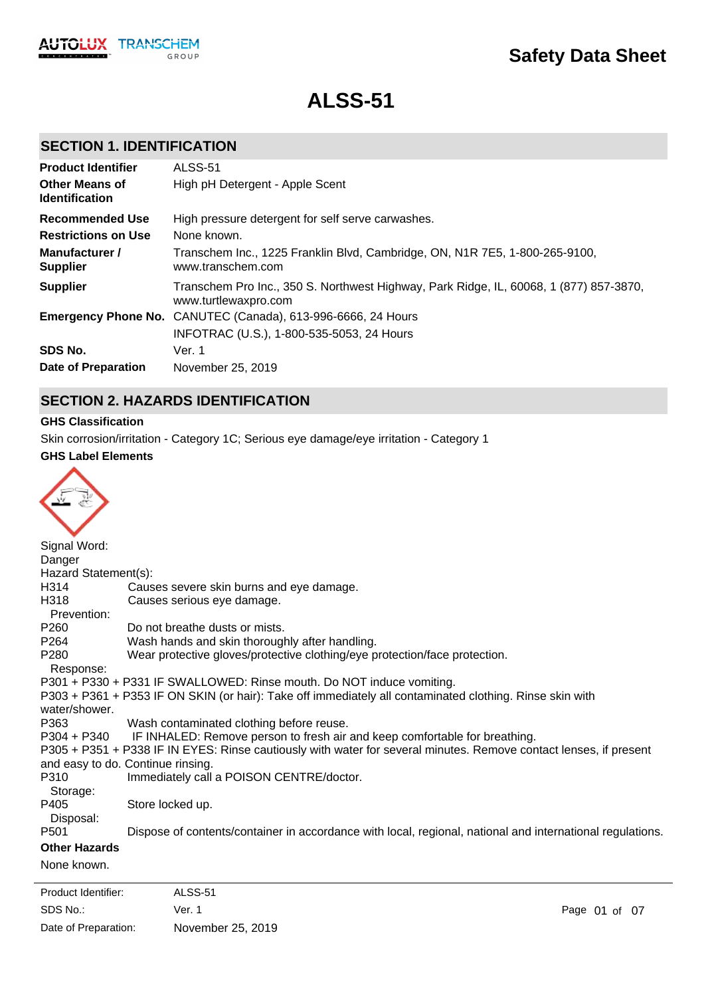

# **ALSS-51**

# **SECTION 1. IDENTIFICATION**

| <b>Product Identifier</b>                      | ALSS-51                                                                                                        |
|------------------------------------------------|----------------------------------------------------------------------------------------------------------------|
| <b>Other Means of</b><br><b>Identification</b> | High pH Detergent - Apple Scent                                                                                |
| <b>Recommended Use</b>                         | High pressure detergent for self serve carwashes.                                                              |
| <b>Restrictions on Use</b>                     | None known.                                                                                                    |
| Manufacturer /<br><b>Supplier</b>              | Transchem Inc., 1225 Franklin Blvd, Cambridge, ON, N1R 7E5, 1-800-265-9100,<br>www.transchem.com               |
| <b>Supplier</b>                                | Transchem Pro Inc., 350 S. Northwest Highway, Park Ridge, IL, 60068, 1 (877) 857-3870,<br>www.turtlewaxpro.com |
|                                                | Emergency Phone No. CANUTEC (Canada), 613-996-6666, 24 Hours                                                   |
|                                                | INFOTRAC (U.S.), 1-800-535-5053, 24 Hours                                                                      |
| SDS No.                                        | Ver. 1                                                                                                         |
| Date of Preparation                            | November 25, 2019                                                                                              |

# **SECTION 2. HAZARDS IDENTIFICATION**

### **GHS Classification**

Skin corrosion/irritation - Category 1C; Serious eye damage/eye irritation - Category 1

### **GHS Label Elements**

| Signal Word:         |                                                                                                                   |
|----------------------|-------------------------------------------------------------------------------------------------------------------|
| Danger               |                                                                                                                   |
| Hazard Statement(s): |                                                                                                                   |
| H <sub>3</sub> 14    | Causes severe skin burns and eye damage.                                                                          |
| H318                 | Causes serious eye damage.                                                                                        |
| Prevention:          |                                                                                                                   |
| P <sub>260</sub>     | Do not breathe dusts or mists.                                                                                    |
| P <sub>264</sub>     | Wash hands and skin thoroughly after handling.                                                                    |
| P280                 | Wear protective gloves/protective clothing/eye protection/face protection.                                        |
| Response:            | P301 + P330 + P331 IF SWALLOWED: Rinse mouth. Do NOT induce vomiting.                                             |
|                      | P303 + P361 + P353 IF ON SKIN (or hair): Take off immediately all contaminated clothing. Rinse skin with          |
| water/shower.        |                                                                                                                   |
| P363                 | Wash contaminated clothing before reuse.                                                                          |
| $P304 + P340$        | IF INHALED: Remove person to fresh air and keep comfortable for breathing.                                        |
|                      | P305 + P351 + P338 IF IN EYES: Rinse cautiously with water for several minutes. Remove contact lenses, if present |
|                      | and easy to do. Continue rinsing.                                                                                 |
| P310                 | Immediately call a POISON CENTRE/doctor.                                                                          |
| Storage:             |                                                                                                                   |
| P405                 | Store locked up.                                                                                                  |
| Disposal:            |                                                                                                                   |
| P <sub>501</sub>     | Dispose of contents/container in accordance with local, regional, national and international regulations.         |
| <b>Other Hazards</b> |                                                                                                                   |
| None known.          |                                                                                                                   |
|                      |                                                                                                                   |

SDS No.: Date of Preparation: Ver. 1 Page 01 of 07 November 25, 2019 Product Identifier: ALSS-51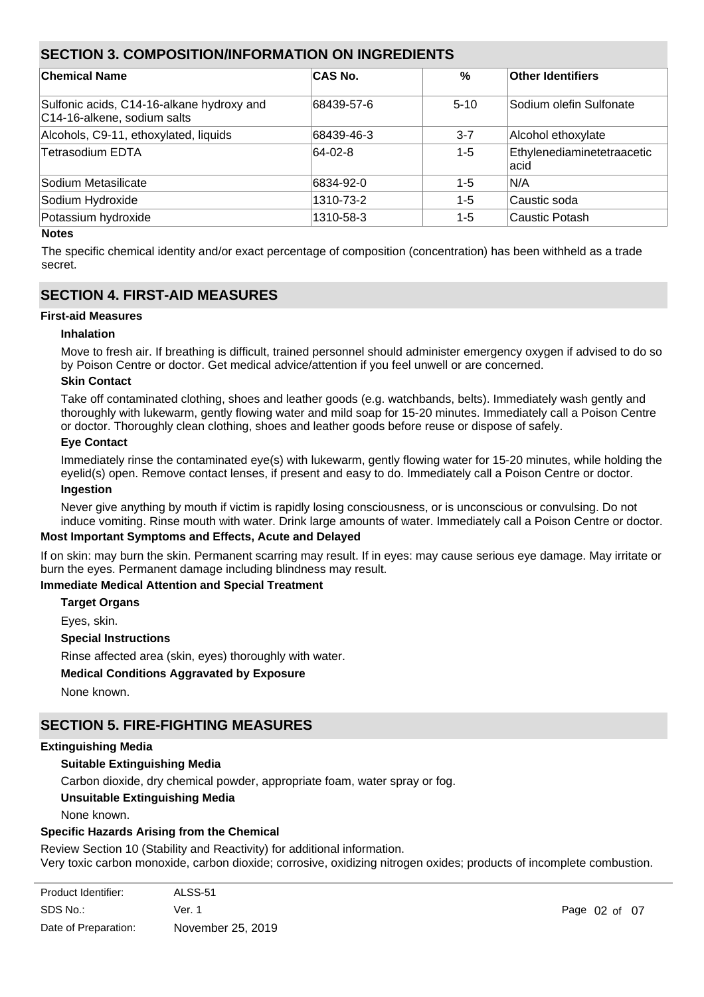# **SECTION 3. COMPOSITION/INFORMATION ON INGREDIENTS**

| <b>Chemical Name</b>                                                     | <b>CAS No.</b> | $\frac{9}{6}$ | <b>Other Identifiers</b>            |
|--------------------------------------------------------------------------|----------------|---------------|-------------------------------------|
| Sulfonic acids, C14-16-alkane hydroxy and<br>C14-16-alkene, sodium salts | 68439-57-6     | $5 - 10$      | Sodium olefin Sulfonate             |
| Alcohols, C9-11, ethoxylated, liquids                                    | 68439-46-3     | $3 - 7$       | Alcohol ethoxylate                  |
| Tetrasodium EDTA                                                         | 64-02-8        | $1 - 5$       | Ethylenediaminetetraacetic<br>lacid |
| Sodium Metasilicate                                                      | 6834-92-0      | $1 - 5$       | IN/A                                |
| Sodium Hydroxide                                                         | 1310-73-2      | $1 - 5$       | ∣Caustic soda                       |
| Potassium hydroxide                                                      | 1310-58-3      | $1 - 5$       | Caustic Potash                      |

### **Notes**

The specific chemical identity and/or exact percentage of composition (concentration) has been withheld as a trade secret.

### **SECTION 4. FIRST-AID MEASURES**

### **First-aid Measures**

### **Inhalation**

Move to fresh air. If breathing is difficult, trained personnel should administer emergency oxygen if advised to do so by Poison Centre or doctor. Get medical advice/attention if you feel unwell or are concerned.

#### **Skin Contact**

Take off contaminated clothing, shoes and leather goods (e.g. watchbands, belts). Immediately wash gently and thoroughly with lukewarm, gently flowing water and mild soap for 15-20 minutes. Immediately call a Poison Centre or doctor. Thoroughly clean clothing, shoes and leather goods before reuse or dispose of safely.

### **Eye Contact**

Immediately rinse the contaminated eye(s) with lukewarm, gently flowing water for 15-20 minutes, while holding the eyelid(s) open. Remove contact lenses, if present and easy to do. Immediately call a Poison Centre or doctor. **Ingestion**

Never give anything by mouth if victim is rapidly losing consciousness, or is unconscious or convulsing. Do not induce vomiting. Rinse mouth with water. Drink large amounts of water. Immediately call a Poison Centre or doctor.

### **Most Important Symptoms and Effects, Acute and Delayed**

If on skin: may burn the skin. Permanent scarring may result. If in eyes: may cause serious eye damage. May irritate or burn the eyes. Permanent damage including blindness may result.

### **Immediate Medical Attention and Special Treatment**

**Target Organs**

Eyes, skin.

### **Special Instructions**

Rinse affected area (skin, eyes) thoroughly with water.

### **Medical Conditions Aggravated by Exposure**

None known.

# **SECTION 5. FIRE-FIGHTING MEASURES**

### **Extinguishing Media**

### **Suitable Extinguishing Media**

Carbon dioxide, dry chemical powder, appropriate foam, water spray or fog.

### **Unsuitable Extinguishing Media**

None known.

### **Specific Hazards Arising from the Chemical**

Review Section 10 (Stability and Reactivity) for additional information. Very toxic carbon monoxide, carbon dioxide; corrosive, oxidizing nitrogen oxides; products of incomplete combustion.

| Product Identifier:  | ALSS-51           |
|----------------------|-------------------|
| SDS No.:             | Ver. 1            |
| Date of Preparation: | November 25, 2019 |

**Special Protective Equipment and Precautions for Fire-fighters**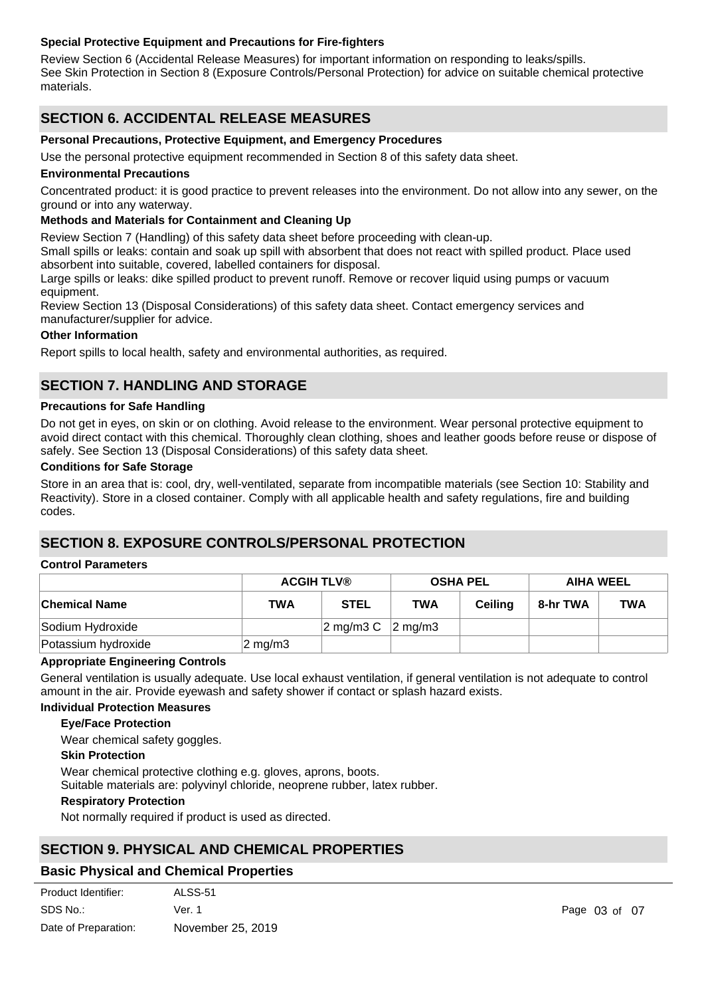### **Special Protective Equipment and Precautions for Fire-fighters**

Review Section 6 (Accidental Release Measures) for important information on responding to leaks/spills. See Skin Protection in Section 8 (Exposure Controls/Personal Protection) for advice on suitable chemical protective materials.

# **SECTION 6. ACCIDENTAL RELEASE MEASURES**

### **Personal Precautions, Protective Equipment, and Emergency Procedures**

Use the personal protective equipment recommended in Section 8 of this safety data sheet.

### **Environmental Precautions**

Concentrated product: it is good practice to prevent releases into the environment. Do not allow into any sewer, on the ground or into any waterway.

### **Methods and Materials for Containment and Cleaning Up**

Review Section 7 (Handling) of this safety data sheet before proceeding with clean-up.

Small spills or leaks: contain and soak up spill with absorbent that does not react with spilled product. Place used absorbent into suitable, covered, labelled containers for disposal.

Large spills or leaks: dike spilled product to prevent runoff. Remove or recover liquid using pumps or vacuum equipment.

Review Section 13 (Disposal Considerations) of this safety data sheet. Contact emergency services and manufacturer/supplier for advice.

### **Other Information**

Report spills to local health, safety and environmental authorities, as required.

### **SECTION 7. HANDLING AND STORAGE**

### **Precautions for Safe Handling**

Do not get in eyes, on skin or on clothing. Avoid release to the environment. Wear personal protective equipment to avoid direct contact with this chemical. Thoroughly clean clothing, shoes and leather goods before reuse or dispose of safely. See Section 13 (Disposal Considerations) of this safety data sheet.

### **Conditions for Safe Storage**

Store in an area that is: cool, dry, well-ventilated, separate from incompatible materials (see Section 10: Stability and Reactivity). Store in a closed container. Comply with all applicable health and safety regulations, fire and building codes.

# **SECTION 8. EXPOSURE CONTROLS/PERSONAL PROTECTION**

### **Control Parameters**

|                      |                     | <b>ACGIH TLV®</b>                               |            | <b>OSHA PEL</b> |          | <b>AIHA WEEL</b> |  |
|----------------------|---------------------|-------------------------------------------------|------------|-----------------|----------|------------------|--|
| <b>Chemical Name</b> | TWA                 | <b>STEL</b>                                     | <b>TWA</b> | Ceilina         | 8-hr TWA | TWA              |  |
| Sodium Hydroxide     |                     | $ 2 \text{ mg/m}3 \text{ C}$ $ 2 \text{ mg/m}3$ |            |                 |          |                  |  |
| Potassium hydroxide  | $ 2 \text{ mg/m3} $ |                                                 |            |                 |          |                  |  |

### **Appropriate Engineering Controls**

General ventilation is usually adequate. Use local exhaust ventilation, if general ventilation is not adequate to control amount in the air. Provide eyewash and safety shower if contact or splash hazard exists.

### **Individual Protection Measures**

### **Eye/Face Protection**

Wear chemical safety goggles.

### **Skin Protection**

Wear chemical protective clothing e.g. gloves, aprons, boots. Suitable materials are: polyvinyl chloride, neoprene rubber, latex rubber.

### **Respiratory Protection**

Not normally required if product is used as directed.

# **SECTION 9. PHYSICAL AND CHEMICAL PROPERTIES**

### **Basic Physical and Chemical Properties**

| Product Identifier:  | ALSS-51           |
|----------------------|-------------------|
| SDS No.:             | Ver. 1            |
| Date of Preparation: | November 25, 2019 |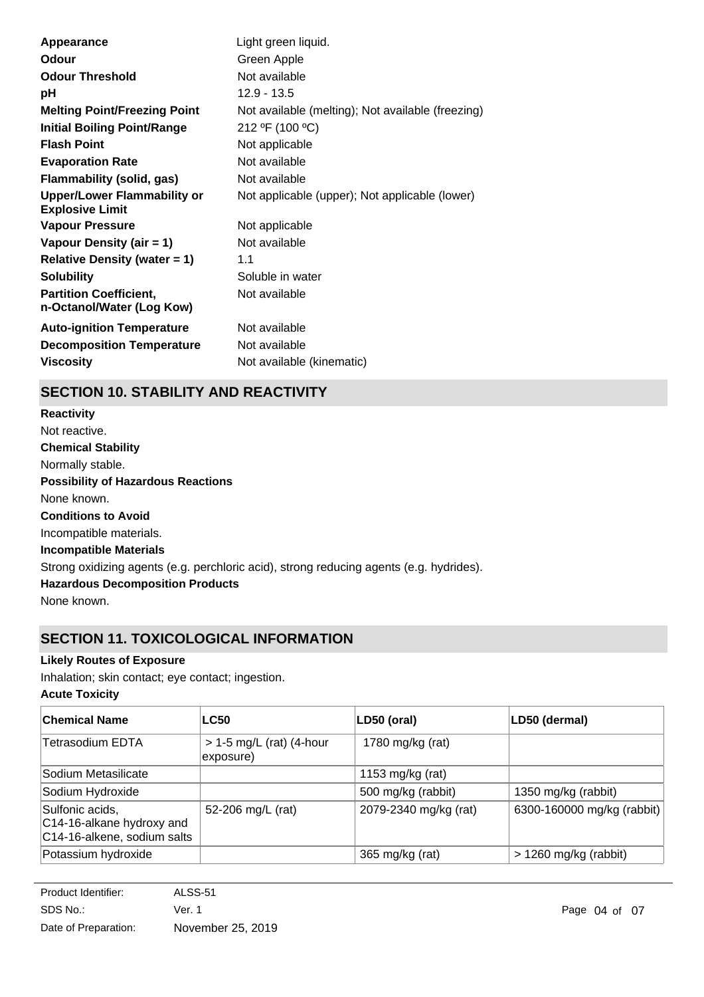| Appearance                                                   | Light green liquid.                               |
|--------------------------------------------------------------|---------------------------------------------------|
| Odour                                                        | Green Apple                                       |
| <b>Odour Threshold</b>                                       | Not available                                     |
| рH                                                           | $12.9 - 13.5$                                     |
| <b>Melting Point/Freezing Point</b>                          | Not available (melting); Not available (freezing) |
| <b>Initial Boiling Point/Range</b>                           | 212 °F (100 °C)                                   |
| <b>Flash Point</b>                                           | Not applicable                                    |
| <b>Evaporation Rate</b>                                      | Not available                                     |
| <b>Flammability (solid, gas)</b>                             | Not available                                     |
| <b>Upper/Lower Flammability or</b><br><b>Explosive Limit</b> | Not applicable (upper); Not applicable (lower)    |
| <b>Vapour Pressure</b>                                       | Not applicable                                    |
| Vapour Density (air = 1)                                     | Not available                                     |
| Relative Density (water $= 1$ )                              | 1.1                                               |
| <b>Solubility</b>                                            | Soluble in water                                  |
| <b>Partition Coefficient,</b><br>n-Octanol/Water (Log Kow)   | Not available                                     |
| <b>Auto-ignition Temperature</b>                             | Not available                                     |
| <b>Decomposition Temperature</b>                             | Not available                                     |
| <b>Viscosity</b>                                             | Not available (kinematic)                         |

# **SECTION 10. STABILITY AND REACTIVITY**

**Chemical Stability** Normally stable. **Conditions to Avoid** Incompatible materials. **Incompatible Materials** Strong oxidizing agents (e.g. perchloric acid), strong reducing agents (e.g. hydrides). **Hazardous Decomposition Products Possibility of Hazardous Reactions** None known. **Reactivity** Not reactive.

### None known.

# **SECTION 11. TOXICOLOGICAL INFORMATION**

### **Likely Routes of Exposure**

Inhalation; skin contact; eye contact; ingestion.

# **Acute Toxicity**

| ∣Chemical Name                                                              | <b>LC50</b>                             | LD50 (oral)           | LD50 (dermal)              |
|-----------------------------------------------------------------------------|-----------------------------------------|-----------------------|----------------------------|
| Tetrasodium EDTA                                                            | $> 1-5$ mg/L (rat) (4-hour<br>exposure) | 1780 mg/kg (rat)      |                            |
| Sodium Metasilicate                                                         |                                         | 1153 mg/kg (rat)      |                            |
| Sodium Hydroxide                                                            |                                         | 500 mg/kg (rabbit)    | 1350 mg/kg (rabbit)        |
| Sulfonic acids,<br>C14-16-alkane hydroxy and<br>C14-16-alkene, sodium salts | 52-206 mg/L (rat)                       | 2079-2340 mg/kg (rat) | 6300-160000 mg/kg (rabbit) |
| Potassium hydroxide                                                         |                                         | 365 mg/kg (rat)       | $> 1260$ mg/kg (rabbit)    |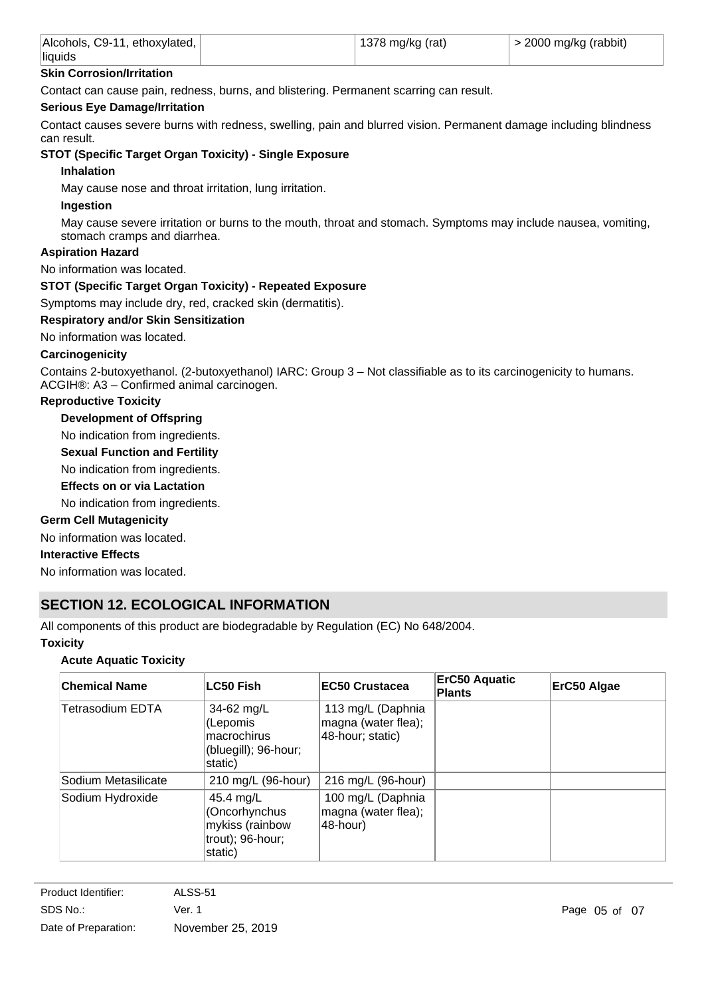| Alcohols, C9-11, ethoxylated, | 1378 mg/kg (rat) | $\frac{1}{2}$ > 2000 mg/kg (rabbit) |
|-------------------------------|------------------|-------------------------------------|
| liquids                       |                  |                                     |

### **Skin Corrosion/Irritation**

Contact can cause pain, redness, burns, and blistering. Permanent scarring can result.

### **Serious Eye Damage/Irritation**

Contact causes severe burns with redness, swelling, pain and blurred vision. Permanent damage including blindness can result.

### **STOT (Specific Target Organ Toxicity) - Single Exposure**

### **Inhalation**

May cause nose and throat irritation, lung irritation.

### **Ingestion**

May cause severe irritation or burns to the mouth, throat and stomach. Symptoms may include nausea, vomiting, stomach cramps and diarrhea.

### **Aspiration Hazard**

No information was located.

### **STOT (Specific Target Organ Toxicity) - Repeated Exposure**

Symptoms may include dry, red, cracked skin (dermatitis).

### **Respiratory and/or Skin Sensitization**

No information was located.

### **Carcinogenicity**

Contains 2-butoxyethanol. (2-butoxyethanol) IARC: Group 3 – Not classifiable as to its carcinogenicity to humans. ACGIH®: A3 – Confirmed animal carcinogen.

### **Reproductive Toxicity**

### **Development of Offspring**

No indication from ingredients.

**Sexual Function and Fertility**

No indication from ingredients.

### **Effects on or via Lactation**

No indication from ingredients.

### **Germ Cell Mutagenicity**

No information was located.

### **Interactive Effects**

No information was located.

# **SECTION 12. ECOLOGICAL INFORMATION**

All components of this product are biodegradable by Regulation (EC) No 648/2004.

### **Toxicity**

### **Acute Aquatic Toxicity**

| <b>Chemical Name</b> | <b>LC50 Fish</b>                                                             | <b>EC50 Crustacea</b>                                        | ErC50 Aquatic<br><b>Plants</b> | ErC50 Algae |
|----------------------|------------------------------------------------------------------------------|--------------------------------------------------------------|--------------------------------|-------------|
| Tetrasodium EDTA     | 34-62 mg/L<br>(Lepomis<br>macrochirus<br>(bluegill); 96-hour;<br>static)     | 113 mg/L (Daphnia<br>magna (water flea);<br>48-hour; static) |                                |             |
| Sodium Metasilicate  | 210 mg/L (96-hour)                                                           | 216 mg/L (96-hour)                                           |                                |             |
| Sodium Hydroxide     | 45.4 mg/L<br>(Oncorhynchus<br>mykiss (rainbow<br>trout); 96-hour;<br>static) | 100 mg/L (Daphnia<br>magna (water flea);<br>48-hour)         |                                |             |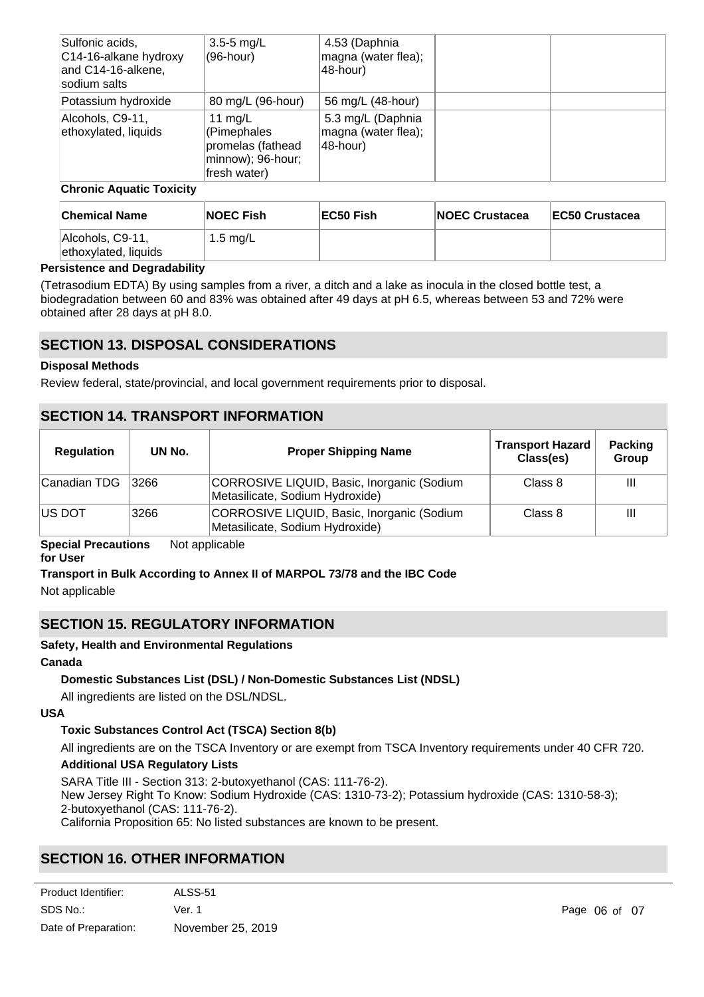| Sulfonic acids,<br>C14-16-alkane hydroxy<br>and C14-16-alkene,<br>sodium salts | $3.5 - 5$ mg/L<br>$(96$ -hour)                                                   | 4.53 (Daphnia<br>magna (water flea);<br>48-hour)     |  |
|--------------------------------------------------------------------------------|----------------------------------------------------------------------------------|------------------------------------------------------|--|
| Potassium hydroxide                                                            | 80 mg/L (96-hour)                                                                | 56 mg/L (48-hour)                                    |  |
| Alcohols, C9-11,<br>ethoxylated, liquids                                       | 11 mg/L<br>(Pimephales<br>promelas (fathead<br>minnow); 96-hour;<br>fresh water) | 5.3 mg/L (Daphnia<br>magna (water flea);<br>48-hour) |  |

### **Chronic Aquatic Toxicity**

| <b>Chemical Name</b>                     | <b>NOEC Fish</b> | EC50 Fish | <b>NOEC Crustacea</b> | <b>IEC50 Crustacea</b> |
|------------------------------------------|------------------|-----------|-----------------------|------------------------|
| Alcohols, C9-11,<br>ethoxylated, liquids | 1.5 mg/L         |           |                       |                        |

### **Persistence and Degradability**

(Tetrasodium EDTA) By using samples from a river, a ditch and a lake as inocula in the closed bottle test, a biodegradation between 60 and 83% was obtained after 49 days at pH 6.5, whereas between 53 and 72% were obtained after 28 days at pH 8.0.

# **SECTION 13. DISPOSAL CONSIDERATIONS**

### **Disposal Methods**

Review federal, state/provincial, and local government requirements prior to disposal.

# **SECTION 14. TRANSPORT INFORMATION**

| <b>Regulation</b> | UN No. | <b>Proper Shipping Name</b>                                                   | <b>Transport Hazard</b><br>Class(es) | <b>Packing</b><br>Group |
|-------------------|--------|-------------------------------------------------------------------------------|--------------------------------------|-------------------------|
| Canadian TDG      | 3266   | CORROSIVE LIQUID, Basic, Inorganic (Sodium<br>Metasilicate, Sodium Hydroxide) | Class 8                              | Ш                       |
| <b>IUS DOT</b>    | 3266   | CORROSIVE LIQUID, Basic, Inorganic (Sodium<br>Metasilicate, Sodium Hydroxide) | Class 8                              | Ш                       |

**Special Precautions** Not applicable

#### **for User**

### **Transport in Bulk According to Annex II of MARPOL 73/78 and the IBC Code**

Not applicable

# **SECTION 15. REGULATORY INFORMATION**

### **Safety, Health and Environmental Regulations**

### **Canada**

### **Domestic Substances List (DSL) / Non-Domestic Substances List (NDSL)**

All ingredients are listed on the DSL/NDSL.

### **USA**

### **Toxic Substances Control Act (TSCA) Section 8(b)**

All ingredients are on the TSCA Inventory or are exempt from TSCA Inventory requirements under 40 CFR 720.

### **Additional USA Regulatory Lists**

SARA Title III - Section 313: 2-butoxyethanol (CAS: 111-76-2).

**NFPA Rating Health - 2 Flammability - 0 Instability - 0**

New Jersey Right To Know: Sodium Hydroxide (CAS: 1310-73-2); Potassium hydroxide (CAS: 1310-58-3); 2-butoxyethanol (CAS: 111-76-2).

California Proposition 65: No listed substances are known to be present.

# **SECTION 16. OTHER INFORMATION**

| Product Identifier:  | ALSS-51           |
|----------------------|-------------------|
| SDS No.:             | Ver. 1            |
| Date of Preparation: | November 25, 2019 |